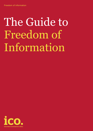# The Guide to Freedom of Information

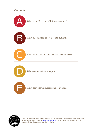# **Contents**





This document has been clarity-checked and awarded the Clear English Standard by the Plain Language Commission [\(www.clearest.co.uk\)](http://www.clearest.co.uk/), which promotes clear and concise communication in documents and on websites.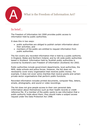<span id="page-2-0"></span>

# What is the Freedom of Information Act?

# In brief…

The Freedom of Information Act 2000 provides public access to information held by public authorities.

It does this in two ways:

- public authorities are obliged to publish certain information about their activities; and
- members of the public are entitled to request information from public authorities.

The Act covers any recorded information that is held by a public authority in England, Wales and Northern Ireland, and by UK-wide public authorities based in Scotland. Information held by Scottish public authorities is covered by Scotland's own Freedom of Information (Scotland) Act 2002.

Public authorities include government departments, local authorities, the NHS, state schools and police forces. However, the Act does not necessarily cover every organisation that receives public money. For example, it does not cover some charities that receive grants and certain private sector organisations that perform public functions.

Recorded information includes printed documents, computer files, letters, emails, photographs, and sound or video recordings.

The Act does not give people access to their own personal data (information about themselves) such as their health records or credit reference file. If a member of the public wants to see information that a public authority holds about them, they should make a subject access request under the Data Protection Act 1998.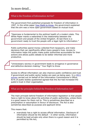# In more detail…

# What is the Freedom of Information Act for?

The government first published proposals for freedom of information in 1997. In the white paper [Your Right to Know,](http://www.archive.official-documents.co.uk/document/caboff/foi/foi.htm) the government explained that the aim was a more open government based on mutual trust.

"Openness is fundamental to the political health of a modern state. This White Paper marks a watershed in the relationship between the government and people of the United Kingdom. At last there is a government ready to trust the people with a legal right to information."

Public authorities spend money collected from taxpayers, and make decisions that can significantly affect many people's lives. Access to information helps the public make public authorities accountable for their actions and allows public debate to be better informed and more productive.

"Unnecessary secrecy in government leads to arrogance in governance and defective decision-making." Your Right to Know

Access to official information can also improve public confidence and trust if government and public sector bodies are seen as being open. In a [2011](http://www.ico.gov.uk/about_us/research/information_rights.aspx)  [survey](http://www.ico.gov.uk/about_us/research/information_rights.aspx) carried out on behalf of the Information Commissioner's Office, 81% of public bodies questioned agreed that the Act had increased the public's trust in their organisation.

## What are the principles behind the Freedom of Information Act?

The main principle behind freedom of information legislation is that people have a right to know about the activities of public authorities, unless there is a good reason for them not to. This is sometimes described as a presumption or assumption in favour of disclosure. The Act is also sometimes described as purpose and applicant blind.

This means that:

 everybody has a right to access official information. Disclosure of information should be the default – in other words, information should be kept private only when there is a good reason and it is permitted by the Act;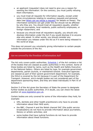- an applicant (requester) does not need to give you a reason for wanting the information. On the contrary, you must justify refusing them information;
- you must treat all requests for information equally, except under some circumstances relating to vexatious requests and personal data (see [When can we refuse a request?](#page-28-0) for details on these). The information someone can get under the Act should not be affected by who they are. You should treat all requesters equally, whether they are journalists, local residents, public authority employees, or foreign researchers; and
- because you should treat all requesters equally, you should only disclose information under the Act if you would disclose it to anyone else who asked. In other words, you should consider any information you release under the Act as if it were being released to the world at large.

This does not prevent you voluntarily giving information to certain people outside the provisions of the Act.

# Are we covered by the Freedom of Information Act?

The Act only covers public authorities. [Schedule 1](http://www.legislation.gov.uk/ukpga/2000/36/schedule/1) of the Act contains a list of the bodies that are classed as public authorities in this context. Some of these bodies are listed by name, such as the Health and Safety Executive or the National Gallery. Others are listed by type, for example government departments, parish councils, or maintained schools. Executive agencies are classed as part of their parent government department; for example, the DVLA is covered by the Act because it is part of the Department for Transport. However, arm's-length bodies are not considered part of the department sponsoring them, and they are listed individually in Part VI of Schedule 1.

Section 5 of the Act gives the Secretary of State the power to designate further bodies as public authorities. If in doubt, you can check the latest position at [www.legislation.gov.uk.](http://www.legislation.gov.uk/)

Certain bodies are only covered for some of the information they hold, for example:

- GPs, dentists and other health practitioners only have to provide information about their NHS work;
- the BBC, Channel 4 and the Welsh channel S4C (the public service broadcasters) do not have to provide information about journalistic, literary or artistic activities; and
- some bodies that have judicial functions do not have to provide information about these functions.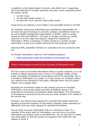In addition to the bodies listed in the Act, with effect from 1 September 2013 the definition of a public authority now also covers companies which are wholly owned:

- by the Crown;
- by the wider public sector; or
- by both the Crown and the wider public sector.

These terms are defined in more detail in the amended section 6 of FOIA.

For example, some local authorities have transferred responsibility for services (eg social housing) to a private company (sometimes known as an arm's-length management organisation or ALMO), which is wholly owned by the local authority. This type of company counts as a public authority in its own right and needs to respond to requests for information. Where a company is wholly owned by a number of local authorities it is also now a public authority for the purposes of FOIA.

Individual MPs, assembly members or councillors are not covered by the Act.

For further information, read our more detailed guidance:

[Public authorities under the Freedom of Information](http://www.ico.org.uk/~/media/documents/library/Freedom_of_Information/Detailed_specialist_guides/public_authorities_under_the_foia.pdf) Act

# When is information covered by the Freedom of Information Act?

The Act covers all recorded information held by a public authority. It is not limited to official documents and it covers, for example, drafts, emails, notes, recordings of telephone conversations and CCTV recordings. Nor is it limited to information you create, so it also covers, for example, letters you receive from members of the public, although there may be a good reason not to release them.

Requests are sometimes made for less obvious sources of recorded information, such as the author and date of drafting, found in the properties of a document (sometimes called meta-data). This information is recorded so is covered by the Act and you must consider it for release in the normal way.

Similarly, you should treat requests for recorded information about the handling of previous freedom of information requests (meta-requests) no differently from any other request for recorded information.

The Act does not cover information that is in someone's head. If a member of the public asks for information, you only have to provide information you already have in recorded form. You do not have to create new information or find the answer to a question from staff who may happen to know it.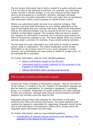The Act covers information that is held on behalf of a public authority even if it is not held on the authority's premises. For example, you may keep certain records in off-site storage, or you may send out certain types of work to be processed by a contractor. Similarly, although individual councillors are not public authorities in their own right, they do sometimes hold information about council business on behalf of their council.

Where you subcontract public services to an external company, that company may then hold information on your behalf, depending on the type of information and your contract with them. Some of the information held by the external company may be covered by the Act if you receive a freedom of information request. The company does not have to answer any requests for information it receives, but it would be good practice for them to forward the requests to you. The same applies where you receive services under a contract, for example, if you consult external solicitors.

The Act does not cover information you hold solely on behalf of another person, body or organisation. This means employees' purely private information is not covered, even if it is on a work computer or email account; nor is information you store solely on behalf of a trade union, or an individual MP or councillor.

For further information, read our more detailed guidance:

- [When is information caught by the FOI Act?](http://www.ico.gov.uk/for_organisations/guidance_index/~/media/documents/library/Freedom_of_Information/Detailed_specialist_guides/AWARENESS_GUIDANCE_12_INFO_CAUGHT_BY_FOI_ACT.ashx)
- Information held by a public authority for the purposes of the [Freedom of Information Act](http://www.ico.gov.uk/~/media/documents/library/Freedom_of_Information/Detailed_specialist_guides/information_held_by_a_public_authority_for_purposes_of_foia.pdf)
- [Official information held in private email accounts](http://www.ico.gov.uk/for_organisations/guidance_index/~/media/documents/library/Freedom_of_Information/Detailed_specialist_guides/official_information_held_in_private_email_accounts.ashx)

# Who can make a freedom of information request?

Anyone can make a freedom of information request – they do not have to be UK citizens, or resident in the UK. Freedom of information requests can also be made by organisations, for example a newspaper, a campaign group, or a company. Employees of a public authority can make requests to their own employer, although good internal communications and staff relations will normally avoid the need for this.

Requesters should direct their requests for information to the public authority they think will hold the information. The public authority that receives the request is responsible for responding. Requests should not be sent to the Information Commissioner's Office (ICO), except where the requester wants information the ICO holds.

For further information, read our more detailed guidance:

 [Consideration of requests without reference](http://www.ico.gov.uk/for_organisations/guidance_index/~/media/documents/library/Freedom_of_Information/Detailed_specialist_guides/MOTIVE_BLIND_V1.ashx) to the identity of the [applicant or the reasons for the request.](http://www.ico.gov.uk/for_organisations/guidance_index/~/media/documents/library/Freedom_of_Information/Detailed_specialist_guides/MOTIVE_BLIND_V1.ashx)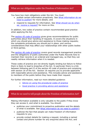# What are our obligations under the Freedom of Information Act?

You have two main obligations under the Act. You must:

- publish certain information proactively. See What information do we [need to publish?](#page-11-0) for more details; and
- respond to requests for information. See What should we do when [we receive a request?](#page-17-0) for more on this.

In addition, two codes of practice contain recommended good practice when applying the Act.

The [section 45 code of practice](http://www.justice.gov.uk/guidance/docs/foi-section45-code-of-practice.pdf) gives gives recommendations for public authorities about their handling of requests. It covers the situations in which you should give advice and assistance to those making requests; the complaints procedures you should put in place; and various considerations that may affect your relationships with other public bodies or third parties.

The [section 46 code of practice](http://www.justice.gov.uk/guidance/docs/foi-section-46-code-of-practice.pdf) covers good records management practice and the obligations of public authorities under the Public Records Acts to maintain their records in an ordered and managed way, so that they can readily retrieve information when it is needed.

These codes of practice are not directly legally binding but failure to follow them is likely to lead to breaches of the Act. In particular there is a link between following part II of the section 45 code of practice and complying with section 16 of the Act. Section 16 requires you to provide applicants with reasonable advice and assistance. This includes advice and assistance to members of the public before they have made their request.

For further information, read our more detailed guidance:

- [Advice on using the procedural codes of practice](http://www.ico.gov.uk/for_organisations/guidance_index/~/media/documents/library/Freedom_of_Information/Practical_application/USING_THE_COP_V2_10_07_07.ashx)
- [Good practice in providing advice and assistance](http://www.ico.gov.uk/for_organisations/guidance_index/~/media/documents/library/Freedom_of_Information/Detailed_specialist_guides/ADVICE_AND_ASSISTANCE_V1.ashx)

## What do we need to tell people about the Freedom of Information Act?

Making information available is only valuable to the public if they know they can access it, and what is available. You should:

- publicise your commitment to proactive publication and the details of what is available. See [What information do we need to publish?;](#page-11-0)
- publicise the fact that people can make freedom of information requests to you;
- provide contact details for making a request, including a named contact and phone number for any enquiries about the Act; and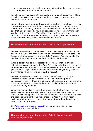tell people who you think may want information that they can make a request, and tell them how to do this.

You should communicate with the public in a range of ways. This is likely to include websites, noticeboards, leaflets, or posters in places where people access your services.

You must also make your staff, contractors, customers or others you have contact with aware of how the Act may affect them. You should make it clear that you cannot guarantee complete confidentiality of information and that as a public body you must consider for release any information you hold if it is requested. You will need to consider each request individually, but it is worthwhile having policies or guidelines for certain types of information, such as information about staff.

#### How does the Freedom of Information Act affect data protection?

The Data Protection Act 1998 gives rules for handling information about people. It includes the right for people to access their personal data. The Freedom of Information Act and the Data Protection Act come under the heading of information rights and are regulated by the ICO.

When a person makes a request for their own information, this is a subject access request under the Data Protection Act. However, members of the public often wrongly think it is the Freedom of Information Act that gives them the right to their personal information, so you may need to clarify things when responding to such a request.

The Data Protection Act exists to protect people's right to privacy, whereas the Freedom of Information Act is about getting rid of unnecessary secrecy. These two aims are not necessarily incompatible but there can be a tension between them, and applying them sometimes requires careful judgement.

When someone makes a request for information that includes someone else's personal data, you will need to carefully balance the case for transparency and openness under the Freedom of Information Act against the data subject's right to privacy under the Data Protection Act in deciding whether you can release the information without breaching the data protection principles.

See [When can we refuse a request?](#page-28-0) for more information on the exemptions for personal data.

How does the Freedom of Information Act affect copyright and intellectual property?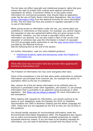The Act does not affect copyright and intellectual property rights that give owners the right to protect their original work against commercial exploitation by others. If someone wishes to re-use public sector information for commercial purposes, they should make an application under the Re-use of Public Sector Information Regulations. See [the Public](http://www.nationalarchives.gov.uk/information-management/policies/psi-faqs.htm)  [Sector Information FAQs](http://www.nationalarchives.gov.uk/information-management/policies/psi-faqs.htm) from the National Archives for more information on this. The ICO does not have any powers to regulate copyright or the re-use of information.

When giving access to information under the Act, you cannot place any conditions or restrictions on that access. For example, you cannot require the requester to sign any agreement before they are given access to the information. However, you can include a copyright notice with the information you disclose. You can also make a claim in the courts if the requester or someone else uses the information in breach of copyright. The ICO encourages public authorities to use the [open government licence](http://www.nationalarchives.gov.uk/doc/open-government-licence/) provided by the National Archives.

Add the following text at the end of the section

For further information, read our more detailed guidance:

 [Intellectual property rights and disclosures under the Freedom of](http://www.ico.gov.uk/~/media/documents/library/Freedom_of_Information/Detailed_specialist_guides/intellectual_property_rights_and_disclosures_under_the_foia.pdf)  [Information Act](http://www.ico.gov.uk/~/media/documents/library/Freedom_of_Information/Detailed_specialist_guides/intellectual_property_rights_and_disclosures_under_the_foia.pdf)

What other laws may we need to take into account when applying the Freedom of Information Act?

The Freedom of Information Act may work alongside other laws.

Some of the exemptions in the Act that allow public authorities to withhold information use principles from common law, for example the section 41 exemption refers to the law of confidence.

Also, section 44 of the Act allows information to be withheld when its disclosure is prohibited under other legislation, and section 21 can exempt information that is accessible to an applicant using procedures in other legislation. See [When can we refuse a request?](#page-28-0) for more information on the exemptions.

When dealing with requests for information, you should continue to be aware of your obligations under the Equality Act 2010 (or Disability Discrimination Act 1995 in Northern Ireland) and the Welsh Language Act 1993. These Acts are not regulated by the ICO so they are not covered in this guidance.

You should handle requests for environmental information under the Environmental Information Regulations 2004. The Regulations also require you to make environmental information available proactively by readily accessible electronic means. If you are likely to be handling requests for information, you will need to familiarise yourself with the basics of the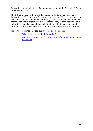Regulations, especially the definition of 'environmental information', found in regulation 2(1).

The Infrastructure for Spatial Information in the European Community Regulations 2009 came into force on 31 December 2009. You will need to take these into account when considering your duty under the Freedom of Information Act to proactively publish information, as they require public authorities to make 'spatial data sets' (sets of data linked to geographical locations) publicly available in a consistent and usable electronic format.

For further information, read our more detailed guidance:

- [What is environmental information?](http://www.ico.gov.uk/for_organisations/guidance_index/~/media/documents/library/Environmental_info_reg/Introductory/EIR_WHAT_IS_ENVIRONMENTAL_INFORMATION.ashx)
- [An introduction to the Environmental Information Regulations](http://www.ico.gov.uk/for_organisations/guidance_index/~/media/documents/library/Environmental_info_reg/Introductory/EIP076_GUIDANCE_FOR_PUB_DOC_VERSION3.ashx)  [exceptions](http://www.ico.gov.uk/for_organisations/guidance_index/~/media/documents/library/Environmental_info_reg/Introductory/EIP076_GUIDANCE_FOR_PUB_DOC_VERSION3.ashx)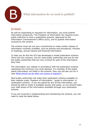<span id="page-11-0"></span>

# What information do we need to publish?

# In brief…

As well as responding to requests for information, you must publish information proactively. The Freedom of Information Act requires every public authority to have a publication scheme, approved by the Information Commissioner's Office (ICO), and to publish information covered by the scheme.

The scheme must set out your commitment to make certain classes of information routinely available, such as policies and procedures, minutes of meetings, annual reports and financial information.

To help you do this the ICO has developed a model publication scheme. There are two versions; one for most public authorities and one for the few public authorities that are only covered for part of the information they hold.

The information you release in accordance with the publication scheme represents the minimum you must disclose. If a member of the public wants information not listed in the scheme, they can still ask you for it (see [What should we do when we receive a request?\)](#page-17-0).

Most public authorities will make their publication scheme available on their website under 'freedom of information', 'guide to information' or 'publication scheme'. If you are asked for any of this information, you should be able to make it available quickly and easily, so you should make your staff aware of the information available through your publication scheme.

If you are involved in implementing and maintaining the scheme, you will need to read the detail below.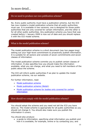In more detail…

## Do we need to produce our own publication scheme?

No. Every public authority must have a publication scheme, but the ICO has now created a model publication scheme that all public authorities must use. It is available in two versions; one is designed for those public authorities that are only covered for certain information, and the other is for all other public authorities. Any publication scheme you have that was created before 1 January 2009 is now out of date and you should replace it with the ICO model scheme.

#### What is the model publication scheme?

The model publication scheme is a short document (say two pages long) setting out your high-level commitment to proactively publish information. It is suitable for all sectors and consists of seven commitments and seven classes of information.

The model publication scheme commits you to publish certain classes of information. It also specifies how you should make the information available, what you can charge, and what you need to tell members of the public about the scheme.

The ICO will inform public authorities if we plan to update the model publication scheme, via our website.

For further information, read:

- [Model publication scheme](http://www.ico.gov.uk/~/media/documents/library/Freedom_of_Information/Detailed_specialist_guides/model-publication-scheme.pdf)
- [Model publication scheme \(Welsh\)](http://www.ico.gov.uk/for_organisations/freedom_of_information/~/media/documents/library/Freedom_of_Information/Detailed_specialist_guides/generic_scheme_v1_cymraeg.ashx)
- [Model publication scheme for bodies only covered for certain](http://www.ico.org.uk/~/media/documents/library/Freedom_of_Information/Detailed_specialist_guides/model-publication-scheme-for-bodies-only-covered-for-certain-information.pdf)  [information](http://www.ico.org.uk/~/media/documents/library/Freedom_of_Information/Detailed_specialist_guides/model-publication-scheme-for-bodies-only-covered-for-certain-information.pdf)

How should we comply with the model publication scheme?

You should adopt the scheme and you need not tell the ICO you have done so. The model scheme is appropriate for all public authorities so you should not change it. You should also make sure you publish the information it covers.

You should also produce:

 a guide to information, specifying what information you publish and how it is available, for example, online or by contacting you; and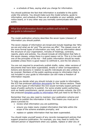a schedule of fees, saying what you charge for information.

You should publicise the fact that information is available to the public under the scheme. You should make sure the model scheme, guide to information, and schedule of fees are all available on your website, public notice board, or in any other way you normally communicate with the public.

What kind of information should we publish and include in our guide to information?

The model publication scheme describes the seven types (classes) of information you should publish.

The seven classes of information are broad and include headings like 'Who we are and what we do' and 'The services we offer'. The classes cover all the more formal types of information you hold, such as information about the structure of your organisation, minutes of meetings, contracts, reports, plans and policies. You should include all information that falls in the seven classes, unless there is a good reason not to. This is in line with one of the principles of the Act – that public information should be made available unless there is good reason to withhold it, and the Act allows it.

You are not required to proactively publish drafts, notes, older versions of documents that have been superseded, emails or other correspondence. Actions and decisions in relation to specific individuals are also unlikely to be covered. Members of the public wanting access to information that is not included in your guide to information can still make a freedom of information request.

To help you decide what you should include in your guide to information, the ICO has produced [definition documents](http://www.ico.gov.uk/for_organisations/freedom_of_information/definition_documents.aspx) for the various sectors. These set out the types of information the ICO would normally expect particular types of public authority to publish. For some smaller public authorities, such as health practitioners, parish councils and primary schools, the ICO has produced template quides to information that just need to be filled in.

Remember that you also need to maintain your publication scheme and continue to publish the information it lists. This means you must put in place a process to:

- review what information you are publishing;
- ensure you make newly created information that falls within the scope of the scheme available promptly; and
- replace or update information that has been superseded.

You should make yourself aware of any records management policies that support proactive publication. For example, you may need to notify the relevant person or department when you update, replace or alter any of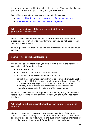the information covered by the publication scheme. You should make sure your staff receive the right training and guidance about this.

For further information, read our more detailed guidance:

- Model publication scheme [using the definition documents](http://www.ico.gov.uk/for_organisations/guidance_index/~/media/documents/library/Freedom_of_Information/Practical_application/USINGTHEDEFINITIONDOCUMENTS.ashx)
- [What should be published: minutes and agendas](http://www.ico.gov.uk/for_organisations/guidance_index/~/media/documents/library/Freedom_of_Information/Detailed_specialist_guides/MINUTESANDAGENDAS.ashx)

## What if we don't have all the information that the model publication scheme covers?

The Act only covers information you hold. It does not require you to create new information or to record information you do not need for your own business purposes.

In your guide to information, list only the information you hold and must publish.

# Can we refuse to publish information?

You should list any information you hold that falls within the classes in your guide to information unless:

- it is in draft form;
- you have archived it or it is difficult to access;
- it is exempt from disclosure under the Act; or
- part of the document is exempt from disclosure and it would not be practical to publish the information in a redacted (edited) form. The ICO would normally expect you to publish redacted minutes of meetings, but we accept it is unreasonable to expect you to routinely produce edited versions of other documents.

Where you have decided not to publish information, it is good practice to record your reasons for this decision, in case you are questioned about this later.

Why must we publish information, rather than simply responding to requests?

The Act is designed to increase transparency. Members of the public should be able to routinely access information that is in the public interest and is safe to disclose. Also, without the publication scheme, members of the public may not know what information you have available.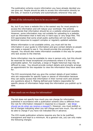The publication scheme covers information you have already decided you can give out. People should be able to access this information directly on the web, or receive it promptly and automatically whenever they ask.

#### Does all the information have to be on a website?

No, but if you have a website this is the easiest way for most people to access the information and will reduce your workload. The scheme recommends that information should be on a website wherever possible. However, some information may not suitable for uploading to a website, such as information that is held only in hard copy or very large files. The ICO appreciates that some small public authorities will not have the technical resources to support complex or regularly updated websites.

Where information is not available online, you must still list the information in your guide to information and give contact details so people can make a request to see it. You should provide this promptly on request. You should also make information available in this way for people who lack access to the internet.

Some information may be available to view in person only, but this should be reserved for those exceptional circumstances where it is the only practicable option. For example, a large or fragile historical map may be difficult to copy. You should provide contact details and promptly arrange an appointment for the requester to view the information they have asked for.

The ICO recommends that you give the contact details of post holders who are responsible for specific types or pieces of information because they can easily access that information in their normal work and answer any questions about it. Making defined post holders responsible for specific pieces of information helps keep the information you publish up to date.

#### How much can we charge for information?

The Act does not specify how much you can charge for information published in accordance with a publication scheme (this is different from the rule for information released in response to a request – see [What](#page-17-0)  [should we do when we receive a request?\)](#page-17-0). However, you must publish a list of charges indicating when you will charge and how much. You will not be able to charge if you have not indicated this in advance.

The ICO model publication scheme requires any fee to be justified, transparent and kept to a minimum. As a general rule, you can only make the following charges: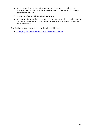- for communicating the information, such as photocopying and postage. We do not consider it reasonable to charge for providing information online;
- fees permitted by other legislation; and
- for information produced commercially, for example, a book, map or similar publication that you intend to sell and would not otherwise have produced.

For further information, read our detailed guidance:

[Charging for information in a publication scheme](http://www.ico.gov.uk/for_organisations/freedom_of_information/publication_scheme/~/media/documents/library/Freedom_of_Information/Practical_application/can_i_charge_for_information.pdf)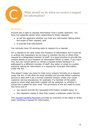<span id="page-17-0"></span>

What should we do when we receive a request for information?

# In brief…

Anyone has a right to request information from a public authority. You have two separate duties when responding to these requests:

- to tell the applicant whether you hold any information falling within the scope of their request; and
- to provide that information.

You normally have 20 working days to respond to a request.

For a request to be valid under the Freedom of Information Act it must be in writing, but requesters do not have to mention the Act or direct their request to a designated member of staff. It is good practice to provide the contact details of your freedom of information officer or team, if you have one, but you cannot ignore or refuse a request simply because it is addressed to a different member of staff. Any letter or email to a public authority asking for information is a request for recorded information under the Act.

This doesn't mean you have to treat every enquiry formally as a request under the Act. It will often be most sensible and provide better customer service to deal with it as a normal customer enquiry under your usual customer service procedures, for example, if a member of the public wants to know what date their rubbish will be collected, or whether a school has a space for their child. The provisions of the Act need to come into force only if:

- you cannot provide the requested information straight away; or
- the requester makes it clear they expect a response under the Act.

This [request handling flowchart](http://www.ico.gov.uk/for_organisations/guidance_index/~/media/documents/library/Freedom_of_Information/Detailed_specialist_guides/flowchart_of_request_handling_under_foia.pdf) provides an overview of the steps to follow when handling a request for information.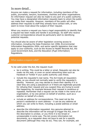# In more detail…

Anyone can make a request for information, including members of the public, journalists, lawyers, businesses, charities and other organisations. An information request can also be made to any part of a public authority. You may have a designated information requests team to whom the public can make their requests. However, members of the public will often address their requests to staff they already have contact with, or who seem to know most about the subject of their request.

When you receive a request you have a legal responsibility to identify that a request has been made and handle it accordingly. So staff who receive customer correspondence should be particularly alert to identifying potential requests.

You should also be aware of other legislation covering access to information, including the Data Protection Act 1998, Environmental Information Regulations 2004, and sector specific legislation that may apply to your authority, such as the Access to Health Records Act, the Local Government Acts, and the Education (Pupil Information) Regulations.

## What makes a request valid?

To be valid under the Act, the request must:

- be in writing. This could be a letter or email. Requests can also be made via the web, or even on social networking sites such as Facebook or Twitter if your public authority uses these;
- include the requester's real name. The Act treats all requesters alike, so you should not normally seek to verify the requester's identity. However, you may decide to check their identity if it is clear they are using a pseudonym or if there are legitimate grounds for refusing their request and you suspect they are trying to avoid this happening, for example because their request is vexatious or repeated. Remember that a request can be made in the name of an organisation, or by one person on behalf of another, such as a solicitor on behalf of a client;
- include an address for correspondence. This need not be the person's residential or work address – it can be any address at which you can write to them, including a postal address or email address;
- describe the information requested. Any genuine attempt to describe the information will be enough to trigger the Act, even if the description is unclear, or you think it is too broad or unreasonable in some way. The Act covers information not documents, so a requester does not have to ask for a specific document (although they may do so). They can, for example, ask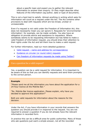about a specific topic and expect you to gather the relevant information to answer their enquiry. Or they might describe other features of the information (eg author, date or type of document).

This is not a hard test to satisfy. Almost anything in writing which asks for information will count as a request under the Act. The Act contains other provisions to deal with requests which are too broad, unclear or unreasonable.

Even if a request is not valid under the Freedom of Information Act, this does not necessarily mean you can ignore it. Requests for 'environmental information', for example, can be made verbally. You also have an obligation to provide advice and assistance to requesters. Where somebody seems to be requesting information but has failed to make a valid freedom of information request, you should draw their attention to their rights under the Act and tell them how to make a valid request.

For further information, read our more detailed guidance:

- Valid request [name and address for correspondence](http://www.ico.gov.uk/for_organisations/guidance_index/~/media/documents/library/Freedom_of_Information/Detailed_specialist_guides/NAME_OF_APPLICANT_FOP083_V1.ashx)
- [Guidance on circular \(or round robin\) requests](http://www.ico.gov.uk/for_organisations/guidance_index/~/media/documents/library/Freedom_of_Information/Practical_application/ROUND_ROBINS_V1.ashx)
- [Can freedom of information requests be made using Twitter?](http://www.ico.gov.uk/for_organisations/freedom_of_information/guide/~/media/documents/library/Freedom_of_Information/Practical_application/can_foi_requests_be_submitted_using_twitter.ashx)

#### Can a question be a valid request?

Yes, a question can be a valid request for information. It is important to be aware of this so that you can identify requests and send them promptly to the correct person.

#### **Example**

"Please send me all the information you have about the application for a 24-hour licence at the Midnite Bar."

"Re. Midnite Bar licence application. Please explain, why have you decided to approve this application?"

Both are valid requests for information about the reasons for the decision.

Under the Act, if you have information in your records that answers the question you should provide it in response to the request. You are not required to answer a question if you do not already have the relevant information in recorded form.

In practice this can be a difficult area for public authorities. Many of those who ask questions just want a simple answer, not all the recorded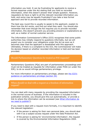information you hold. It can be frustrating for applicants to receive a formal response under the Act stating that you hold no recorded information, when this doesn't answer their simple question. However, requesters do have a right to all the relevant recorded information you hold, and some may be equally frustrated if you take a less formal approach and fail to provide recorded information.

The best way round this is usually to speak to the applicant, explain to them how the Act works, and find out what they want. You should also remember that even though the Act requires you to provide recorded information, this doesn't prevent you providing answers or explanations as well, as a matter of normal customer service.

The Information Commissioner's Office (ICO) recognises that some public authorities may initially respond to questions informally, but we will expect you to consider your obligations under the Act as soon as it becomes clear that the applicant is dissatisfied with this approach. Ultimately, if there is a complaint to the ICO, the Commissioner will make his decision based on whether recorded information is held and has been provided.

# Should Parliamentary Questions be treated as FOI requests?

Parliamentary Questions (PQs) are part of parliamentary proceedings and must not be treated as requests for information under FOIA (or under the EIR); to do so would infringe parliamentary privilege.

For more information on parliamentary privilege, please see [the ICO's](http://www.ico.gov.uk/~/media/documents/library/Freedom_of_Information/Detailed_specialist_guides/section_34_parliamentary_privilege.pdf)  [guidance on parliamentary privilege \(section 34\)](http://www.ico.gov.uk/~/media/documents/library/Freedom_of_Information/Detailed_specialist_guides/section_34_parliamentary_privilege.pdf)

#### When should we deal with a request as a freedom of information request?

You can deal with many requests by providing the requested information in the normal course of business. If the information is included in the publication scheme, you should give this out automatically, or provide a link to where the information can be accessed (see [What information do](#page-11-0)  [we need to publish?\)](#page-11-0).

If you need to deal with a request more formally, it is important to identify the relevant legislation:

- If the person is asking for their own personal data, you should deal with it as a subject access request under the Data Protection Act.
- If the person is asking for 'environmental information', the request is covered by the Environmental Information Regulations 2004.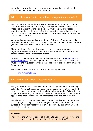Any other non-routine request for information you hold should be dealt with under the Freedom of Information Act.

## What are the timescales for responding to a request for information?

Your main obligation under the Act is to respond to requests promptly, with a time limit acting as the longest time you can take. Under the Act, most public authorities may take up to 20 working days to respond, counting the first working day after the request is received as the first day. For schools, the standard time limit is 20 school days, or 60 working days if this is shorter.

Working day means any day other than a Saturday, Sunday, or public holidays and bank holidays; this may or may not be the same as the days you are open for business or staff are in work.

The time allowed for complying with a request starts when your organisation receives it, not when it reaches the freedom of information officer or other relevant member of staff.

Certain circumstances (explained in this guidance and in [When can we](#page-28-0)  [refuse a request?\)](#page-28-0) may allow you extra time. However, in all cases you must give the requester a written response within the standard time limit for compliance.

For further information, read our more detailed guidance:

• [Time for compliance](http://www.ico.gov.uk/for_organisations/guidance_index/~/media/documents/library/Freedom_of_Information/Detailed_specialist_guides/TIMEFORCOMPLIANCE.ashx)

#### What should we do when we receive a request?

First, read the request carefully and make sure you know what is being asked for. You must not simply give the requester information you think may be helpful; you must consider all the information that falls within the scope of the request, so identify this first. Always consider contacting the applicant to check that you have understood their request correctly.

You should read a request objectively. Do not get diverted by the tone of the language the requester has used, your previous experience of them (unless they explicitly refer you to this) or what you think they would be most interested in.

#### **Example**

"Approving the 24-hour licence at the Midnite Bar – can you provide me the details of this completely ridiculous licence application?"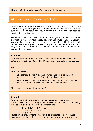This may still be a valid request, in spite of the language.

## What if we are unsure what's being asked for?

Requests are often ambiguous, with many potential interpretations, or no clear meaning at all. If you can't answer the request because you are not sure what is being requested, you must contact the requester as soon as possible for clarification.

You do not have to deal with the request until you have received whatever clarification you reasonably need. However, you must consider whether you can give the requester advice and assistance to enable them to clarify or rephrase their request. For example, you could explain what options may be available to them and ask whether any of these would adequately answer their request.

#### **Example**

"You have asked for all expenses claims submitted by Mrs Jones and dates of all meetings attended by Mrs Jones in June, July or August last

year.

This could mean:

- A) all expenses claims Mrs Jones ever submitted, plus dates of meetings she attended in June, July and August; or
- B) all expenses claims Mrs Jones submitted in June, July or August, and dates of meetings she attended in the same months.

Please let us know which you mean."

#### **Example**

"You have asked for a copy of our risk assessment policy. We do not have a specific policy relating to risk assessment. However, the following policies include an element of risk assessment:

- \* Health and Safety at Work policy
- \* Corporate Risk Strategy
- \* Security Manual

Please let us know whether you would be interested in any of these documents or what risk assessment information you are interested in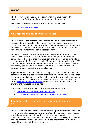#### seeing."

The time for compliance will not begin until you have received the necessary clarification to allow you to answer the request.

For further information, read our more detailed guidance:

• [Interpreting a request](http://www.ico.gov.uk/for_organisations/guidance_index/~/media/documents/library/Freedom_of_Information/Practical_application/INTERPRETING_A_REQUEST.ashx)

## What happens if we don't have the information?

The Act only covers recorded information you hold. When compiling a response to a request for information, you may have to draw from multiple sources of information you hold, but you don't have to make up an answer or find out information from elsewhere if you don't already have the relevant information in recorded form.

Before you decide that you don't hold any recorded information, you should make sure that you have carried out adequate and properly directed searches, and that you have convincing reasons for concluding that no recorded information is held. If an applicant complains to the ICO that you haven't identified all the information you hold, we will consider the scope, quality and thoroughness of your searches and test the strength of your reasoning and conclusions.

If you don't have the information the requester has asked for, you can comply with the request by telling them this, in writing. If you know that the information is held by another public authority, you could transfer the request to them or advise the requester to redirect their request. Part III of the [section 45 code of practice](http://www.justice.gov.uk/guidance/docs/foi-section45-code-of-practice.pdf) provides advice on good practice in transferring requests for information.

For further information, read our more detailed guidance:

- [Determining whether information is held](http://www.ico.gov.uk/~/media/documents/library/Freedom_of_Information/Practical_application/determining_whether_information_is_held_foi_eir.ashx)
- [Do I have to create information to answer a request?](http://www.ico.gov.uk/for_organisations/guidance_index/~/media/documents/library/Freedom_of_Information/Detailed_specialist_guides/INFORMATION_FROM_ORIGINAL_SOURCES.ashx)

#### It will take us a long time to find the information. Can we have extra time?

The Act does not allow extra time for searching for information. However, if finding the information and drawing it together to answer the request would be an unreasonable burden on your resources and exceed a set costs limit, you may be able to refuse the request. Likewise, you may not have to confirm whether or not you hold the information, if it would exceed the costs limit to determine this.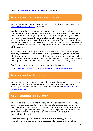See [When can we refuse a request?](#page-28-0) for more details.

## Do we have to tell them what information we have?

Yes, unless one of the reasons for refusing to do this applies – see [When](#page-28-0)  [can we refuse a request?](#page-28-0) for details.

You have two duties when responding to requests for information: to let the requester know whether you hold the information, and to provide the information. If you are giving out all the information you hold, this will fulfil both these duties. If you are refusing all or part of the request, you will normally still have to confirm whether you hold (further) information. You do not need to give a description of this information; you only have to say whether you have any (further) information that falls within the scope of the request.

In some circumstances, you can refuse to confirm or deny whether you hold any information. For example, if a requester asks you about evidence of criminal activity by a named individual, saying whether you hold such information could be unfair to the individual and could prejudice any police investigation. We call this a 'neither confirm nor deny' (NCND) response.

For further information, read our more detailed guidance:

[When to refuse to confirm or deny that information is held](http://www.ico.gov.uk/for_organisations/guidance_index/~/media/documents/library/Freedom_of_Information/Detailed_specialist_guides/when_to_refuse_to_confirm_or_deny_section_1_foia.ashx)

#### Do we have to release the information?

Yes, under the law you must release the information unless there is good reason not to. For more about when you may be able to refuse the request, or withhold some or all of the information, see When can we [refuse a request?.](#page-28-0)

#### What if the information is inaccurate?

The Act covers recorded information, whether or not it is accurate. You cannot refuse a request for information simply because you know the information is out of date, incomplete or inaccurate. To avoid misleading the requester, you should normally be able to explain to them the nature of the information, or provide extra information to help put the information into context.

When considering complaints against a public authority, the ICO will normally reject arguments that inaccurate information should not be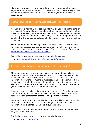disclosed. However, in a few cases there may be strong and persuasive arguments for refusing a request on these grounds if these are specifically tied to an exemption in the Act. It will be up to you to identify such arguments.

#### Can we change or delete information that has been requested?

No. You should normally disclose the information you held at the time of the request. You are allowed to make routine changes to the information while you are dealing with the request as long as these would have been made regardless of the request. However, it would not be good practice to go ahead with a scheduled deletion of information if you know it has been requested.

You must not make any changes or deletions as a result of the request, for example, because you are concerned that some of the information could be embarrassing if it were released. This is a criminal offence (see [What happens when someone complains?\)](#page-53-0).

For further information, read our more detailed guidance:

• [Retention and destruction of requested information](http://www.ico.org.uk/~/media/documents/library/Freedom_of_Information/Practical_application/retention-and-destruction-of-requested-information.pdf)

## In what format should we give the requester the information?

There are a number of ways you could make information available, including by email, as a printed copy, on a disk, or by arranging for the requester to view the information. Normally, you should send the information by whatever means is most reasonable. For example, if the requester has made their request by email, and the information is an electronic document in a standard form, then it would be reasonable for you to reply by email and attach the information.

However, requesters have the right to specify their preferred means of communication, in their initial request. So you should check the original request for any preferences before sending out the information.

You may also want to consider whether you would like to include anything else with the information, such as a copyright notice for third party information, or explanation and background context.

Remember that disclosures under the Act are 'to the world', so anyone may see the information.

For further information, read our more detailed guidance:

[Means of communication](http://www.ico.gov.uk/for_organisations/guidance_index/~/media/documents/library/Freedom_of_Information/Detailed_specialist_guides/MEANSOFCOMMUNICATION.ashx)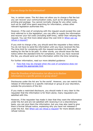#### Can we charge for the information?

Yes, in certain cases. The Act does not allow you to charge a flat fee but you can recover your communication costs, such as for photocopying, printing and postage. You cannot normally charge for any other costs, such as for staff time spent searching for information, unless other relevant legislation authorises this.

However, if the cost of complying with the request would exceed the cost limit referred to in the legislation, you can offer to supply the information and recover your full costs (including staff time), rather than refusing the request. You can find more detail about the cost limit in [When can we](#page-28-0)  [refuse a request?.](#page-28-0)

If you wish to charge a fee, you should send the requester a fees notice. You do not have to send the information until you have received the fee. The time limit for complying with the request excludes the time spent waiting for the fee to be paid. In other words, you should issue the fees notice within the standard time for compliance. Once you have received the fee, you should send out the information within the time remaining.

For further information, read our more detailed guidance:

 [Fees that may be charged when the cost of compliance does not](http://www.ico.gov.uk/for_organisations/freedom_of_information/guide/~/media/documents/library/Freedom_of_Information/Detailed_specialist_guides/fees_cost_of_compliance_appropriate_limit.ashx)  [exceed the appropriate limit](http://www.ico.gov.uk/for_organisations/freedom_of_information/guide/~/media/documents/library/Freedom_of_Information/Detailed_specialist_guides/fees_cost_of_compliance_appropriate_limit.ashx)

Does the Freedom of Information Act allow us to disclose information to a specific person or group alone?

Disclosures under the Act are 'to the world'. However, you can restrict the release of information to a specific individual or group at your discretion, outside the provisions of the Act.

If you make a restricted disclosure, you should make it very clear to the requester that the information is for them alone; many requesters are satisfied with this.

However, if the requester has made it clear that they want the information under the Act and are not satisfied with receiving it on a discretionary basis, you can give them the information, but you may also need to give them a formal refusal notice, explaining why you have not released it under the Act. See [When can we refuse a request?](#page-28-0) for more details about refusal notices.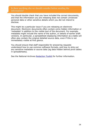#### Is there anything else we should consider before sending the information?

You should double check that you have included the correct documents, and that the information you are releasing does not contain unnoticed personal data or other sensitive details which you did not intend to disclose.

This might be a particular issue if you are releasing an electronic document. Electronic documents often contain extra hidden information or 'metadata' in addition to the visible text of the document. For example, metadata might include the name of the author, or details of earlier draft versions. In particular, a spreadsheet displaying information as a table will often also contain the original detailed source data, even if this is not immediately visible at first glance.

You should ensure that staff responsible for answering requests understand how to use common software formats, and how to strip out any sensitive metadata or source data (eg data hidden behind pivot tables in spreadsheets).

See the National Archives [Redaction Toolkit](http://www.nationalarchives.gov.uk/documents/information-management/redaction_toolkit.pdf) for further information.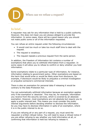<span id="page-28-0"></span>

# When can we refuse a request?

# In brief…

A requester may ask for any information that is held by a public authority. However, this does not mean you are always obliged to provide the information. In some cases, there will be a good reason why you should not make public some or all of the information requested.

You can refuse an entire request under the following circumstances:

- It would cost too much or take too much staff time to deal with the request.
- The request is vexatious.
- The request repeats a previous request from the same person.

In addition, the Freedom of Information Act contains a number of exemptions that allow you to withhold information from a requester. In some cases it will allow you to refuse to confirm or deny whether you hold information.

Some exemptions relate to a particular type of information, for instance, information relating to government policy. Other exemptions are based on the harm that would arise or would be likely arise from disclosure, for example, if disclosure would be likely to prejudice a criminal investigation or prejudice someone's commercial interests.

There is also an exemption for personal data if releasing it would be contrary to the Data Protection Act.

You can automatically withhold information because an exemption applies only if the exemption is 'absolute'. This may be, for example, information you receive from the security services, which is covered by an absolute exemption. However, most exemptions are not absolute but require you to apply a public interest test. This means you must consider the public interest arguments before deciding whether to disclose the information. So you may have to disclose information in spite of an exemption, where it is in the public interest to do so.

If you are refusing all or any part of a request, you must send the requester a written refusal notice. You will need to issue a refusal notice if you are either refusing to say whether you hold information at all, or confirming that information is held but refusing to release it.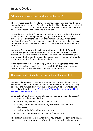# In more detail…

#### When can we refuse a request on the grounds of cost?

The Act recognises that freedom of information requests are not the only demand on the resources of a public authority. They should not be allowed to cause a drain on your time, energy and finances to the extent that they negatively affect your normal public functions.

Currently, the cost limit for complying with a request or a linked series of requests from the same person or group is set at £600 for central government, Parliament and the armed forces and £450 for all other public authorities. You can refuse a request if you estimate that the cost of compliance would exceed this limit. This provision is found at section 12 of the Act.

You can refuse a request if deciding whether you hold the information would mean you exceed the cost limit, for example, because it would require an extensive search in a number of locations. Otherwise, you should say whether you hold the information, even if you cannot provide the information itself under the cost ceiling.

When calculating the costs of complying, you can aggregate (total) the costs of all related requests you receive within 60 days from the same person or from people who seem to be working together.

## How do we work out whether the cost limit would be exceeded?

You are only required to estimate whether the limit would be exceeded. You do not have to do the work covered by the estimate before deciding to refuse the request. However, the estimate must be reasonable and must follow the rules in the [Freedom of Information \(Appropriate Limit](http://www.legislation.gov.uk/uksi/2004/3244/contents/made)  [and Fees\) Regulations 2004.](http://www.legislation.gov.uk/uksi/2004/3244/contents/made)

When estimating the cost of compliance, you can only take into account the cost of the following activities:

- determining whether you hold the information;
- finding the requested information, or records containing the information;
- retrieving the information or records; and
- extracting the requested information from records.

The biggest cost is likely to be staff time. You should rate staff time at £25 per person per hour, regardless of who does the work, including external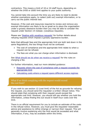contractors. This means a limit of 18 or 24 staff hours, depending on whether the £450 or £600 limit applies to your public authority.

You cannot take into account the time you are likely to need to decide whether exemptions apply, to redact (edit out) exempt information, or to carry out the public interest test.

However, if the cost and resources required to review and remove any exempt information are likely to be so great as to place the organisation under a grossly obsessive burden then you may be able to consider the request under Section 14 instead. (vexatious requests).

Please see ['Dealing with vexatious requests'](http://www.ico.org.uk/~/media/documents/library/Freedom_of_Information/Detailed_specialist_guides/dealing-with-vexatious-requests.pdf) for further details about refusing requests which impose a grossly oppressive burden.

Note that although fees and the appropriate limit are both laid down in the same Regulations, the two things must not be confused:

- The cost of compliance and the appropriate limit relate to when a request can be refused.
- The fees are what you can charge when information is disclosed.

See [What should we do when we receive a request?](#page-17-0) for the rules on charging a fee.

For further information, read our more detailed guidance:

- Requests where the cost of compliance with a request exceeds the [appropriate limit](http://www.ico.gov.uk/for_organisations/freedom_of_information/guide/~/media/documents/library/Freedom_of_Information/Detailed_specialist_guides/costs_of_compliance_exceeds_appropriate_limit.ashx)
- [Calculating costs where a request spans different access regimes](http://www.ico.gov.uk/for_organisations/guidance_index/~/media/documents/library/Freedom_of_Information/Detailed_specialist_guides/calculating_costs_foia_eir_guidance.ashx)

## What if we think complying with the request would exceed the cost limit?

If you wish to use section 12 (cost limit) of the Act as grounds for refusing the request, you should send the requester a written refusal notice. This should state that complying with their request would exceed the appropriate cost limit. However, you should still say whether you hold the information, unless finding this out would in itself incur costs over the limit.

There is no official requirement for you to include an estimate of the costs in the refusal notice. However, you must give the requester reasonable advice and assistance to refine (change or narrow) their request. This will generally involve explaining why the limit would be exceeded and what information, if any, may be available within the limits.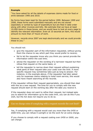#### **Example**

"You have asked for all the details of expenses claims made for food or drink between 1995 and 2010.

No forms have been kept for the period before 1999. Between 1999 and 2006, these forms were submitted manually and are not stored separately or sorted by type of expenditure but are filed in date order along with other invoices and bills. We estimate that we have at least 10,000 items in these boxes, and we would have to look at every page to identify the relevant information. Even at 10 seconds an item, this would amount to more than 27 hours of work.

However, records since 2007 are kept electronically and we could provide these to you."

You should not:

- give the requester part of the information requested, without giving them the chance to say which part they would prefer to receive;
- fail to let the requester know why you think you cannot provide the information within the cost limit;
- advise the requester on the wording of a narrower request but then refuse that request on the same basis; or
- tell the requester to narrow down their request without explaining what parts of their request take your costs over the limit. A more specific request may sometimes take just as long to answer. For instance, in the example above, if the requester had later asked only for expenses claims relating to hotel room service, this would also have meant searching all the records.

If the requester refines their request appropriately, you should then deal with this as a new request. The time for you to comply with the new request should start on the working day after the date you receive it.

If the requester does not want to refine their request, but instead asks you to search for information up to the costs limit, you can do this if you wish, but the Act does not require you to do so.

Can we charge extra if complying with a request exceeds the cost limit?

Yes, if complying with a request would cost you more than the £450 or £600 limit, you can refuse it outright or do the work for an extra charge.

If you choose to comply with a request costing over £450 or £600, you can charge: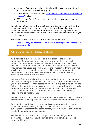- the cost of compliance (the costs allowed in calculating whether the appropriate limit is exceeded); plus
- the communication costs (see What should we do when we receive a [request?\)](#page-17-0); plus
- £25 an hour for staff time taken for printing, copying or sending the information.

You should not do this work without getting written agreement from the requester that they will pay the extra costs. You should also give the requester the option of refining their request rather than paying extra. The 'time for compliance' clock is paused in these circumstances, until you receive payment.

For further information, read our more detailed guidance:

 [Fees that may be charged when the cost of compliance exceeds the](http://www.ico.gov.uk/for_organisations/freedom_of_information/guide/~/media/documents/library/Freedom_of_Information/Detailed_specialist_guides/fees_cost_of_compliance_exceeds_appropriate_limit.ashx)  [appropriate limit](http://www.ico.gov.uk/for_organisations/freedom_of_information/guide/~/media/documents/library/Freedom_of_Information/Detailed_specialist_guides/fees_cost_of_compliance_exceeds_appropriate_limit.ashx)

#### When can we refuse a request as vexatious?

As a general rule, you should not take into account the identity or intentions of a requester when considering whether to comply with a request for information. You cannot refuse a request simply because it does not seem to be of much value. However, a minority of requesters may sometimes abuse their rights under the Freedom of Information Act, which can threaten to undermine the credibility of the freedom of information system and divert resources away from more deserving requests and other public business.

You can refuse to comply with a request that is vexatious. If so, you do not have to comply with any part of it, or even confirm or deny whether you hold information. When assessing whether a request is vexatious, the Act permits you to take into account the context and history of a request, including the identity of the requester and your previous contact with them. The decision to refuse a request often follows a long series of requests and correspondence.

The key question to ask yourself is whether the request is likely to cause a disproportionate or unjustifiable level of distress, disruption or irritation.

Bear in mind that it is the request that is considered vexatious, not the requester. If after refusing a request as vexatious you receive a subsequent request from the same person, you can refuse it only if it also meets the criteria for being vexatious.

You should be prepared to find a request vexatious in legitimate circumstances, but you should exercise care when refusing someone's rights in this way.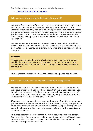For further information, read our more detailed guidance:

[Dealing with vexatious requests](http://www.ico.org.uk/~/media/documents/library/Freedom_of_Information/Detailed_specialist_guides/dealing-with-vexatious-requests.pdf)

When can we refuse a request because it is repeated?

You can refuse requests if they are repeated, whether or not they are also vexatious. You can normally refuse to comply with a request if it is identical or substantially similar to one you previously complied with from the same requester. You cannot refuse a request from the same requester just because it is for information on a related topic. You can do so only when there is a complete or substantial overlap between the two sets of information.

You cannot refuse a request as repeated once a reasonable period has passed. The reasonable period is not set down in law but depends on the circumstances, including, for example, how often the information you hold changes.

#### **Example**

"Please could you send me the latest copy of your register of interests? You kindly sent me a copy of this two years ago but I assume it may have been updated since then. Also I no longer have the copy you sent previously."

This request is not repeated because a reasonable period has elapsed.

#### What if we want to refuse a request as vexatious or repeated?

You should send the requester a written refusal notice. If the request is vexatious or repeated, you need only state that this is your decision; you do not need to explain it further. However, you should keep a record of the reasons for your decision so that you can justify it to the Information Commissioner's Office if a complaint is made.

If you are receiving vexatious or repeated requests from the same person, you can send a single refusal notice to the applicant, stating that you have found their requests to be vexatious or repeated (as appropriate) and that you will not send a written refusal in response to any further vexatious or repeated requests.

This does not mean you can ignore all future requests from this person. For example, a future request could be about a completely different topic, or have a valid purpose. You must consider whether the request is vexatious or repeated in each case.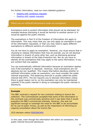For further information, read our more detailed guidance:

- [Dealing with vexatious requests](http://www.ico.org.uk/~/media/documents/library/Freedom_of_Information/Detailed_specialist_guides/dealing-with-vexatious-requests.pdf)
- [Dealing with repeat requests](http://www.ico.org.uk/~/media/documents/library/Freedom_of_Information/Detailed_specialist_guides/dealing-with-repeat-requests.pdf)

## When can we withhold information under an exemption?

Exemptions exist to protect information that should not be disclosed, for example because disclosing it would be harmful to another person or it would be against the public interest.

The exemptions in Part II of the Freedom of Information Act apply to information. This may mean that you can only apply an exemption to part of the information requested, or that you may need to apply different exemptions to different sections of a document.

You do not have to apply an exemption. However, you must ensure that in choosing to release information that may be exempt, you do not disclose information in breach of some other law, such as disclosing personal information in breach of the Data Protection Act. Nor do you have to identify all the exemptions that may apply to the same information, if you are content that one applies.

You can automatically withhold information because an exemption applies only if the exemption is 'absolute'. However, most exemptions are not absolute but are 'qualified'. This means that before deciding whether to withhold information under an exemption, you must consider the public interest arguments. This balancing exercise is usually called the public interest test (PIT). The Act requires you to disclose information unless there is good reason not to, so the exemption can only be maintained (upheld) if the public interest in doing so outweighs the public interest in disclosure.

#### **Example**

The BBC received a request for two contracts relating to licence fee collection. The Commissioner accepted that some of the information in the contracts was commercially sensitive and it was likely that it would prejudice the BBC's commercial interests. However, this was not significant enough to outweigh the need for the BBC to be accountable for its use of public money, as well as the importance of informing an ongoing consultation about the licence fee.

(ICO decision notice [FS50296349\)](http://www.ico.gov.uk/~/media/documents/decisionnotices/2011/fs_50296349.ashx)

In this case, even though the information fell within an exemption, the public interest favoured disclosure.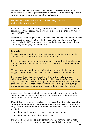You can have extra time to consider the public interest. However, you must still contact the requester within the standard time for compliance to let them know you are claiming a time extension.

When can we use an exemption to refuse to say whether we have the information?

In some cases, even confirming that information is or is not held may be sensitive. In these cases, you may be able to give a 'neither confirm nor deny' (NCND) response.

Whether you need to give a NCND response should usually depend on how the request is worded, not on whether you hold the information. You should apply the NCND response consistently, in any case where **either** confirming **or** denying could be harmful.

#### **Example**

"Please could you send me the investigation file relating to the murder committed at 23 Any Street on 12 January 2011?"

In this case, assuming the murder was publicly reported, the police could confirm that they held some information on the topic, without giving the contents.

"Please could you send me any information you have linking Mr Joe Bloggs to the murder committed at 23 Any Street on 12 January 2011"

In this case the police do not confirm whether they hold any such information. If they do have information, this could tip off a suspect, and may be unfair to Mr Bloggs. If they don't have the information, this could also be valuable information for the murderer. So the police would give the same response, whether or not they hold any such information.

Unless otherwise specified, all the exemptions below also give you the option to claim an exclusion from the duty to confirm or deny whether information is held, in appropriate cases.

If you think you may need to claim an exclusion from the duty to confirm or deny whether you hold information, then you will need to consider this duty separately from the duty to provide information. You will need to do this both:

- when you decide whether an exemption applies; and
- when you apply the public interest test.

If it would be damaging to even confirm or deny if information is held, then you must issue a refusal notice explaining this to the requester. In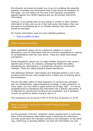this situation we would not expect you to go on to address the separate question of whether any information that is held should be disclosed, at this stage. You will need to do this only if the requester successfully appeals against your NCND response and you do actually hold some information.

However, if you decide that you are willing to confirm or deny whether information is held, and you do in fact hold some information, then you will need to immediately go on to consider whether that information should be disclosed.

For further information, read our more detailed guidance:

• [Duty to confirm or deny](http://www.ico.gov.uk/for_organisations/guidance_index/~/media/documents/library/Freedom_of_Information/Detailed_specialist_guides/DUTYTOCONFIRMORDENY.ashx)

#### What exemptions are there?

Some exemptions apply only to a particular category or class of information, such as information held for criminal investigations or relating to correspondence with the royal family. These are called class-based exemptions.

Some exemptions require you to judge whether disclosure may cause a specific type of harm, for instance, endangering health and safety, prejudicing law enforcement, or prejudicing someone's commercial interests. These are called prejudice-based exemptions.

This distinction between 'class-based' and 'prejudice-based' is not in the wording of the Act but many people find it a useful way of thinking about the exemptions.

The Act also often refers to other legislation or common law principles, such as confidentiality, legal professional privilege, or data protection. In many cases, you may need to apply some kind of legal 'test' - it is not as straightforward as identifying that information fits a specific description. It is important to read the full wording of any exemption, and if necessary consult our guidance, before trying to rely on it.

The exemptions can be found in Part II of the Act, at sections 21 to 44.

What is 'prejudice' and how do we decide whether disclosure would cause this?

For the purposes of the Act, 'prejudice' means causing harm in some way. Many of the exemptions listed below apply if disclosing the information you hold would harm the interests covered by the exemption. In the same way, confirming or denying whether you have the information can also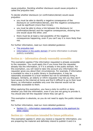cause prejudice. Deciding whether disclosure would cause prejudice is called the prejudice test.

To decide whether disclosure (or confirmation/denial) would cause prejudice:

- you must be able to identify a negative consequence of the disclosure (or confirmation/denial), and this negative consequence must be significant (more than trivial);
- you must be able to show a link between the disclosure (or confirmation/denial) and the negative consequences, showing how one would cause the other; and
- there must be at least a real possibility of the negative consequences happening, even if you can't say it is more likely than not.

For further information, read our more detailed guidance:

- [The prejudice test](http://www.ico.gov.uk/for_organisations/freedom_of_information/guide/~/media/documents/library/Freedom_of_Information/Detailed_specialist_guides/the_prejudice_test.ashx)
- [Information in the public domain](http://www.ico.org.uk/~/media/documents/library/Freedom_of_Information/Detailed_specialist_guides/information-in-the-public-domain-foi-eir-guidance.ashx) (if some information is already publicly available)

# Section 21 – information already reasonably accessible

This exemption applies if the information requested is already accessible to the requester. You could apply this if you know that the requester already has the information, or if it is already in the public domain. For this exemption, you will need to take into account any information the requester gives you about their circumstances. For example, if information is available to view in a public library in Southampton, it may be reasonably accessible to a local resident but not to somebody living in Glasgow. Similarly, an elderly or infirm requester may tell you they don't have access to the internet at home and find it difficult to go to their local library, so information available only over the internet would not be reasonably accessible to them.

When applying this exemption, you have a duty to confirm or deny whether you hold the information, even if you are not going to provide it. You should also tell the requester where they can get it.

This exemption is absolute, so you do not need to apply the public interest test.

For further information, read our more detailed guidance:

• Section 21 – information reasonably accessible to the applicant by [other means](http://www.ico.org.uk/~/media/documents/library/Freedom_of_Information/Detailed_specialist_guides/information-reasonably-accessible-to-the-applicant-by-other-means-sec21.pdf)

# Section 22 – information intended for future publication

This exemption applies if, when you receive a request for information, you are preparing the material and definitely intend to publish it and it is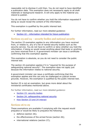reasonable not to disclose it until then. You do not need to have identified a publication date. This exemption does not necessarily apply to all draft materials or background research. It will only apply to the material you intend to publish.

You do not have to confirm whether you hold the information requested if doing so would reveal the content of the information.

This exemption is qualified by the public interest test.

For further information, read our more detailed guidance:

• Section 22 – [information intended for future publication](http://www.ico.gov.uk/for_organisations/guidance_index/~/media/documents/library/Freedom_of_Information/Detailed_specialist_guides/section_22_information_intended_for_future_publication.ashx)

# Sections 23 and 24 – security bodies and national security

The section 23 exemption applies to any information you have received from, or relates to, any of a list of named security bodies such as the security service. You do not have to confirm or deny whether you hold the information, if doing so would reveal anything about that body or anything you have received from it. A government minister can issue a certificate confirming that this exemption applies.

This exemption is absolute, so you do not need to consider the public interest test.

The section 24 exemption applies if it is "required for the purpose of safeguarding national security". The exemption does not apply just because the information relates to national security.

A government minister can issue a certificate confirming that this exemption applies and this can only be challenged on judicial review grounds. However, the exemption is qualified by the public interest test.

Section 25 is not an exemption, but gives more detail about the ministerial certificates mentioned above.

For further information, read our more detailed guidance:

- [Section 23: security bodies](http://www.ico.gov.uk/for_organisations/freedom_of_information/guide/~/media/documents/library/Freedom_of_Information/Detailed_specialist_guides/security_bodies_section_23_foi.ashx)
- [Section 24: safeguarding](http://www.ico.gov.uk/for_organisations/freedom_of_information/guide/~/media/documents/library/Freedom_of_Information/Detailed_specialist_guides/safeguarding_national_security_section_24_foi.ashx) national security
- [How Section 23 and 24 interact](http://www.ico.gov.uk/for_organisations/freedom_of_information/guide/~/media/documents/library/Freedom_of_Information/Detailed_specialist_guides/how_sections_23_and_24_interact_foi.ashx)

# Sections 26 to 29

These exemptions are available if complying with the request would prejudice or would be likely to prejudice the following:

- defence (section 26);
- the effectiveness of the armed forces (section 26);
- international relations (section 27);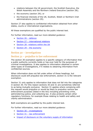- relations between the UK government, the Scottish Executive, the Welsh Assembly and the Northern Ireland Executive (section 28);
- the economy (section 29); or
- the financial interests of the UK, Scottish, Welsh or Northern Irish administrations (section 29).

Section 27 also applies to confidential information obtained from other states, courts or international organisations.

All these exemptions are qualified by the public interest test.

For further information, read our more detailed guidance:

- [Section 26](http://www.ico.gov.uk/for_organisations/guidance_index/~/media/documents/library/Freedom_of_Information/Detailed_specialist_guides/AWARENESS_GUIDANCE_10_-_THE_DEFENCE_EXEMPTION.ashx)  defence
- Section 27 [international relations](http://www.ico.gov.uk/for_organisations/guidance_index/~/media/documents/library/Freedom_of_Information/Detailed_specialist_guides/awareness_guidance_14_-_international_relations.ashx)
- Section 28 -[relations within the UK](http://www.ico.gov.uk/for_organisations/guidance_index/~/media/documents/library/Freedom_of_Information/Detailed_specialist_guides/RELATIONSWITHINTHEUK.ashx)
- $\bullet$  Section 29 [the economy](http://www.ico.gov.uk/for_organisations/guidance_index/~/media/documents/library/Freedom_of_Information/Detailed_specialist_guides/THEECONOMY.ashx)

# Section 30 – investigations

# Section 31 – prejudice to law enforcement

The section 30 exemption applies to a specific category of information that a public authority currently holds or has ever held for the purposes of criminal investigations. It also applies to information obtained in certain other types of investigations, if it relates to obtaining information from confidential sources.

When information does not fall under either of these headings, but disclosure could still prejudice law enforcement, section 31 is the relevant exemption.

Section 31 only applies to information that does not fall into the categories in section 30. For this reason sections 30 and 31 are sometimes referred to as being mutually exclusive. Section 31 applies where complying with the request would prejudice or would be likely to prejudice various law enforcement purposes (listed in the Act) including preventing crime, administering justice, and collecting tax. It also protects certain other regulatory functions, for example those relating to health and safety and charity administration.

Both exemptions are qualified by the public interest test.

For further information, read our more detailed guidance:

- Section 30 [investigations](http://www.ico.gov.uk/for_organisations/guidance_index/~/media/documents/library/Freedom_of_Information/Detailed_specialist_guides/S30_EXEMPTION_FOR_INVESTIGATIONS_AND_PROCEEDINGS_V3.ashx)
- $\bullet$  Section 31 [law enforcement](http://www.ico.gov.uk/for_organisations/guidance_index/~/media/documents/library/Freedom_of_Information/Detailed_specialist_guides/S31_EXEMPTION_FOR_LAW_ENFORCEMENT_V3.ashx)
- [Impact of disclosure on the voluntary supply of information](http://www.ico.gov.uk/~/media/documents/library/Freedom_of_Information/Detailed_specialist_guides/impact_of_disclosure_on_voluntary_supply_of_information_foia.pdf)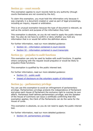# Section 32 – court records

This exemption applies to court records held by any authority (though courts themselves are not covered by the Act).

To claim this exemption, you must hold the information only because it was originally in a document created or used as part of legal proceedings, including an inquiry, inquest or arbitration.

This is an unusual exemption because the type of document is relevant, as well as the content and purpose of the information they hold.

This exemption is absolute, so you do not need to apply the public interest test. You also do not have to confirm or deny whether you hold any information that is or would fall within the definition above.

For further information, read our more detailed guidance:

- Section 32 [information contained in court records](http://www.ico.gov.uk/for_organisations/guidance_index/~/media/documents/library/Freedom_of_Information/Detailed_specialist_guides/AWARENESS_GUIDANCE_9_INFO_CONTAINED_IN_COURT_RECORDS.ashx)
- Section 32 [information contained in court transcripts](http://www.ico.gov.uk/for_organisations/guidance_index/~/media/documents/library/Freedom_of_Information/Detailed_specialist_guides/COURT_TRANSCRIPTS_V1.ashx)

# Section 33 – prejudice to audit functions

This exemption can only be used by bodies with audit functions. It applies where complying with the request would prejudice or would be likely to prejudice those functions.

This exemption is qualified by the public interest test.

For further information, read our more detailed guidance:

- $\bullet$  Section 33 [public audit](http://www.ico.gov.uk/for_organisations/guidance_index/~/media/documents/library/Freedom_of_Information/Detailed_specialist_guides/awareness_guidance_18_-_public_audit.ashx)
- [Impact of disclosure on the voluntary supply of information](http://www.ico.gov.uk/~/media/documents/library/Freedom_of_Information/Detailed_specialist_guides/impact_of_disclosure_on_voluntary_supply_of_information_foia.pdf)

# Section 34 – parliamentary privilege

You can use this exemption to avoid an infringement of parliamentary privilege. Parliamentary privilege protects the independence of Parliament and gives each House of Parliament the exclusive right to oversee its own affairs. Parliament itself defines parliamentary privilege, and the Speaker of the House of Commons can issue a certificate confirming that this exemption applies; the Clerk of the Parliaments can do the same for the House of Lords.

This exemption is absolute, so you do not need to apply the public interest test.

For further information, read our more detailed guidance:

• Section 34: parliamentary privilege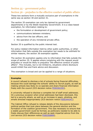# Section 35 – government policy

# Section 36 – prejudice to the effective conduct of public affairs

These two sections form a mutually exclusive pair of exemptions in the same way as section 30 and section 31.

The section 35 exemption can only be claimed by government departments or by the Welsh Assembly Government. It is a class-based exemption, for information relating to:

- the formulation or development of government policy;
- communications between ministers;
- advice from the law officers: and
- the operation of any ministerial private office.

Section 35 is qualified by the public interest test.

For policy-related information held by other public authorities, or other information that falls outside this exemption but needs to be withheld for similar reasons, the section 36 exemption applies.

The section 36 exemption applies only to information that falls outside the scope of section 35. It applies where complying with the request would prejudice or would be likely to prejudice "the effective conduct of public affairs". This includes, but is not limited to, situations where disclosure would inhibit free and frank advice and discussion.

This exemption is broad and can be applied to a range of situations.

#### **Examples**

A council refused to disclose a list of schools facing financial difficulties, because this could damage the schools' ability to recruit pupils, as well as making schools less likely to co-operate and share financial information freely with the council (ICO decision notice [FS50302293\)](http://www.ico.gov.uk/~/media/documents/decisionnotices/2011/fs_50302293.ashx).

A university refused to disclose a complete list of staff email addresses. On a previous occasion when email addresses had been disclosed, this led to a security attack, as well as an increase in spam, phishing, and emails directed inappropriately (ICO decision notice [FS50344341\)](http://www.ico.gov.uk/~/media/documents/decisionnotices/2011/fs_50344341.ashx).

The Cabinet Office refused to release details of the discussions between political parties that took place between the general election and the formation of the coalition government. This was necessary to ensure that a stable government could be formed, as politicians needed to be able to freely discuss their differences as well as seek impartial advice from the civil service (ICO decision notice [FS50350899\)](http://www.ico.gov.uk/~/media/documents/decisionnotices/2011/fs_50350899.ashx).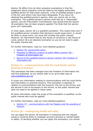Section 36 differs from all other prejudice exemptions in that the judgement about prejudice must be made by the legally authorised qualified person for that public authority. A list of qualified people is given in the Act, and others may have been designated. If you have not obtained the qualified person's opinion, then you cannot rely on this exemption. The qualified person's opinion must also be a "reasonable" opinion, and the Information Commissioner may decide that the section 36 exemption has not been properly applied if he finds that the opinion given isn't reasonable.

In most cases, section 36 is a qualified exemption. This means that even if the qualified person considers that disclosure would cause harm, or would be likely to cause harm, you must still consider the public interest. However, for information held by the House of Commons or the House of Lords, section 36 is an absolute exemption so you do not need to apply the public interest test.

For further information, read our more detailed guidance:

- [Section 35: government policy](http://www.ico.org.uk/~/media/documents/library/Freedom_of_Information/Detailed_specialist_guides/government-policy-foi-section-35-guidance.ashx)
- [Prejudice to effective conduct of public affairs \(section 36\)](http://www.ico.gov.uk/for_organisations/guidance_index/~/media/documents/library/Freedom_of_Information/Detailed_specialist_guides/section_36_prejudice_to_effective_conduct_of_public_affairs.ashx)  [Freedom of Information Act](http://www.ico.gov.uk/for_organisations/guidance_index/~/media/documents/library/Freedom_of_Information/Detailed_specialist_guides/section_36_prejudice_to_effective_conduct_of_public_affairs.ashx)
- Record of the qualified person's opinion (section 36) Freedom of [Information Act](http://www.ico.gov.uk/for_organisations/guidance_index/~/media/documents/library/Freedom_of_Information/Detailed_specialist_guides/section_36_record_of_the_qualified_persons_opinion.ashx)

# Section 37 – communications with the royal family and the granting of honours

This exemption has been changed since the Freedom of Information Act was first published, so you should refer to an up-to-date copy at [www.legislation.gov.uk.](http://www.legislation.gov.uk/)

It covers any information relating to communications with the royal family and information on granting honours. This exemption is absolute in relation to communications with the monarch, the heir to the throne, and the second in line of succession to the throne, so the public interest test does not need to be applied in these cases.

All other information under the scope of this exemption is qualified, so the public interest test must be applied.

For further information, read our more detailed guidance:

• Section 37 – communications with Her Majesty and the awarding of [honours](http://www.ico.gov.uk/for_organisations/guidance_index/~/media/documents/library/Freedom_of_Information/Detailed_specialist_guides/communications_with_her_majesty_and_the_awarding_of_honours.ashx)

# Section 38 – endangering health and safety

You can apply the section 38 exemption if complying with the request would or would be likely to endanger anyone's physical or mental health or safety. In deciding whether you can apply this exemption, you should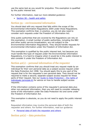use the same test as you would for prejudice. This exemption is qualified by the public interest test.

For further information, read our more detailed guidance:

 $\bullet$  Section 38 – [health and safety](http://www.ico.gov.uk/for_organisations/guidance_index/~/media/documents/library/Freedom_of_Information/Detailed_specialist_guides/AWARENESS_GUIDANCE_19_-_HEALTH_AND_SAFETY.ashx)

# Section 39 – environmental information

You should deal with any request that falls within the scope of the Environmental Information Regulations 2004 under those Regulations. This exemption confirms that, in practice, you do not also need to consider such requests under the Freedom of Information Act.

Only public authorities that are covered by the Regulations can rely on this exemption. A small number of public authorities, including the BBC and other public service broadcasters, are not subject to the Environmental Information Regulations. They should handle requests for environmental information under the Freedom of Information Act.

This exemption is qualified by the public interest test, but because you must handle this type of request under the Environmental Information Regulations, it is hard to imagine when it would be in the public interest to also consider it under the Freedom of Information Act.

# Section  $40(1)$  – personal information of the requester

This exemption confirms that you should treat any request made by an individual for their own personal data as a subject access request under the Data Protection Act 1998. You should apply this to any part of the request that is for the requester's own personal data. They should not be required to make a second, separate subject access request for these parts of their request. See our [Guide to Data Protection](http://www.ico.gov.uk/for_organisations/data_protection/the_guide/principle_6.aspx) – the rights of [individuals \(principle 6\)](http://www.ico.gov.uk/for_organisations/data_protection/the_guide/principle_6.aspx) for advice on how to handle subject access requests.

If the information contains some of the requester's personal data plus other non-personal information, then you will need to consider releasing some of the information under the Data Protection Act and some under the Freedom of Information Act.

This exemption is absolute, so you do not need to apply the public interest test.

Requested information may involve the personal data of both the requester and others. For further information, read our guidance:

[Personal data of both the requester and others](http://www.ico.org.uk/~/media/documents/library/Freedom_of_Information/Detailed_specialist_guides/personal-data-of-both-the-requester-and-others-foi-eir.pdf)

Section  $40(2)$  – data protection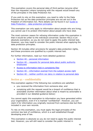This exemption covers the personal data of third parties (anyone other than the requester) where complying with the request would breach any of the principles in the Data Protection Act.

If you wish to rely on this exemption, you need to refer to the Data Protection Act as the data protection principles are not set out in the Freedom of Information Act. More details can be found in our [Guide to](http://www.ico.gov.uk/for_organisations/data_protection/the_guide/the_principles.aspx)  Data Protection – [data protection principles.](http://www.ico.gov.uk/for_organisations/data_protection/the_guide/the_principles.aspx)

This exemption can only apply to information about people who are living; you cannot use it to protect information about people who have died.

The most common reason for refusing information under this exemption is that it would be unfair to the individual concerned. Section 40(2) is an absolute exemption, so you do not need to apply the public interest test. However, you may need to consider the public interest when applying the data protection principles.

Section 40 includes other provisions for people's data protection rights, and these provisions are qualified by a public interest test.

For further information, read our more detailed guidance:

- Section 40 [personal information](http://www.ico.org.uk/~/media/documents/library/Freedom_of_Information/Detailed_specialist_guides/personal-information-section-40-and-regulation-13-foia-and-eir-guidance.pdf)
- Section 40 requests for personal data about public authority [employees](http://www.ico.gov.uk/~/media/documents/library/Environmental_info_reg/Practical_application/section_40_requests_for_personal_data_about_employees.pdf)
- [Access to information held in complaints files](http://www.ico.gov.uk/for_organisations/guidance_index/~/media/documents/library/Data_Protection/Practical_application/access_to_information_held_in_complaint_files.ashx)
- Section 40 [information exempt from the subject access right](http://www.ico.gov.uk/~/media/documents/library/Freedom_of_Information/Detailed_specialist_guides/information_exempt_from_the_subject_access_right_and_regulation_foi_eir.ashx)
- Section 40 [neither confirm nor deny in relation to personal data](http://www.ico.gov.uk/for_organisations/freedom_of_information/guide/~/media/documents/library/Freedom_of_Information/Detailed_specialist_guides/neither_confirm_nor_deny_in_relation_to_personal_data_and_regulation_foi_eir.ashx)

# Section 41 – confidentiality

This exemption applies if the following two conditions are satisfied:

- you received the information from someone else; and
- complying with the request would be a breach of confidence that is actionable (further information about what is meant by actionable is provided in our detailed guidance below)

You cannot apply this exemption to information you have generated within your organisation, even if it is marked "confidential". However, you can claim it for information you originally received from someone else but then included in your own records.

To rely on this exemption, you must apply the legal principles of the common law test of confidence, which is a well established though developing area of law.

This exemption is absolute so you do not need to apply the public interest test. However, you will still need to consider the public interest in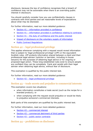disclosure, because the law of confidence recognises that a breach of confidence may not be actionable when there is an overriding public interest in disclosure.

You should carefully consider how you use confidentiality clauses in contracts with third parties and set reasonable levels of expectations about what may be disclosed.

For further information, read our more detailed guidance:

- Section 41 [information provided in confidence](http://www.ico.gov.uk/for_organisations/guidance_index/~/media/documents/library/Freedom_of_Information/Detailed_specialist_guides/CONFIDENTIALINFORMATION_V4.ashx)
- Section 41 [information provided in confidence relating to contracts](http://www.ico.gov.uk/for_organisations/guidance_index/~/media/documents/library/Freedom_of_Information/Detailed_specialist_guides/CONFIDENCEANDCONTRACTS.ashx)
- Section  $41$  [the duty of confidence and the public interest](http://www.ico.gov.uk/for_organisations/guidance_index/~/media/documents/library/Freedom_of_Information/Detailed_specialist_guides/SEC41_CONFIDENCE_PUBLIC_INTEREST_TEST_V1.ashx)
- [Impact of disclosure on the voluntary supply of information](http://www.ico.gov.uk/~/media/documents/library/Freedom_of_Information/Detailed_specialist_guides/impact_of_disclosure_on_voluntary_supply_of_information_foia.pdf)
- [Public Contract Regulations](http://www.ico.gov.uk/~/media/documents/library/Freedom_of_Information/Detailed_specialist_guides/public-contract-regulations-foi-eir.pdf)

# Section 42 – legal professional privilege

This applies whenever complying with a request would reveal information that is subject to 'legal professional privilege' (LPP) or the equivalent Scottish rules. LPP protects information shared between a client and their professional legal advisor (solicitor or barrister, including in-house lawyers) for the purposes of obtaining legal advice or for ongoing or proposed legal action. These long-established rules exist to ensure people are confident they can be completely frank and candid with their legal adviser when obtaining legal advice, without fear of disclosure.

This exemption is qualified by the public interest test.

For further information, read our more detailed guidance:

 $\bullet$  Section 42 – [legal professional privilege](http://www.ico.gov.uk/for_organisations/guidance_index/~/media/documents/library/Freedom_of_Information/Detailed_specialist_guides/legal_professional_privilege_exemption_s42.ashx)

# Section 43 – trade secrets and prejudice to commercial interests

This exemption covers two situations:

- when information constitutes a trade secret (such as the recipe for a branded product); or
- when complying with the request would prejudice or would be likely to prejudice someone's commercial interests.

Both parts of this exemption are qualified by the public interest test.

For further information, read our more detailed guidance:

- Section 43 [commercial interest](http://www.ico.gov.uk/for_organisations/guidance_index/~/media/documents/library/Freedom_of_Information/Detailed_specialist_guides/AWARENESS_GUIDANCE_5_V3_07_03_08.ashx)
- Section 43 [commercial detriment of third parties](http://www.ico.gov.uk/for_organisations/guidance_index/~/media/documents/library/Freedom_of_Information/Detailed_specialist_guides/COMMERCIALDETRIMENTOF3RDPARTIES.ashx)
- $\bullet$  Section 43 [public sector contracts](http://www.ico.gov.uk/for_organisations/guidance_index/~/media/documents/library/Freedom_of_Information/Detailed_specialist_guides/AWARENESS_GUIDANNCE_5_ANNEXE_V3_07_03_08.ashx)

Section 44 – prohibitions on disclosure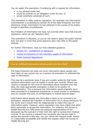You can apply this exemption if complying with a request for information:

- is not allowed under law;
- would be contrary to an obligation under EU law; or
- would constitute contempt of court.

This exemption is often used by regulators. For example, the Information Commissioner is prohibited by section 59 of the Data Protection Act from disclosing certain information he has obtained in the course of his duties, except in specified circumstances.

The Freedom of Information Act does not override other laws that prevent disclosure, which we call 'statutory bars'.

This exemption is absolute, so you do not need to apply the public interest test, but bear in mind that some statutory bars may refer to the public interest.

For further information, read our more detailed guidance:

- Section 44 [prohibitions on disclosure](http://www.ico.gov.uk/for_organisations/guidance_index/~/media/documents/library/Freedom_of_Information/Detailed_specialist_guides/AWARENESS_GUIDANCE_27_-_PROHIBITIONS_ON_DISCLOSURE.ashx)
- [Impact of disclosure on the voluntary supply of information](http://www.ico.gov.uk/~/media/documents/library/Freedom_of_Information/Detailed_specialist_guides/impact_of_disclosure_on_voluntary_supply_of_information_foia.pdf)
- [Public Contract Regulations](http://www.ico.gov.uk/~/media/documents/library/Freedom_of_Information/Detailed_specialist_guides/public-contract-regulations-foi-eir.pdf)

# Can we withhold information about people who have died?

The Data Protection Act does not cover information about people who have died, so you cannot rely on a section 40 exemption to withhold this type of information.

This may be a particular issue if you are a public authority that holds sensitive information such as health or social care records. Where you receive a request for this kind of information about someone who has died, the most appropriate exemption is likely to be section 41 (confidentiality). This is because the information would originally have been provided to a healthcare practitioner or social worker in confidence, and we consider this duty of confidentiality to extend beyond death.

Information about people who have died is likely to be covered by an exemption, because the Freedom of Information Act is about disclosure 'to the world' and it would often be inappropriate to make this type of information public. However, some requesters may have rights that allow them personally to access the information. For instance, the Access to Health Records Act 1990 gives the personal representative of the deceased (eg the executor of their will) the right to access their medical records. If you receive a request from someone who has the right to access the records in this way, you can refuse the request under section 21 (reasonably accessible) and handle the request under the Access to Health Records Act.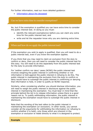For further information, read our more detailed guidance:

• Information [about the deceased](http://www.ico.gov.uk/for_organisations/guidance_index/~/media/documents/library/Freedom_of_Information/Detailed_specialist_guides/information-about-the-deceased-foi-eir.pdf)

#### Can we have extra time to consider exemptions?

No, but if the exemption is qualified you can have extra time to consider the public interest test. In doing so you must:

- identify the relevant exemption(s) before you can claim any extra time for the public interest test; and
- write and let the requester know why you are claiming extra time.

#### When and how do we apply the public interest test?

If the exemption you wish to apply is qualified, then you will need to do a public interest test, even if you know the exemption applies.

If you think that you may need to claim an exclusion from the duty to confirm or deny, then you will need to consider the public interest test for this duty. You will need to do this separately from the public interest test for the duty to provide information.

For 'neither confirm nor deny' cases (NCND) the public interest test involves weighing the public interest in confirming whether or not information is held against the public interest in refusing to do this. The public interest in maintaining the exclusion from the duty to confirm or deny would have to outweigh the public interest in confirming or denying that information is held, in order to justify an NCND response.

Similarly, when considering whether you should disclose information, you will need to weigh the public interest in disclosure against the public interest in maintaining the exemption. You must bear in mind that the principle behind the Act is to release information unless there is a good reason not to. To justify withholding information, the public interest in maintaining the exemption would have to outweigh the public interest in disclosure.

Note that the wording of the test refers to the public interest in maintaining the exemption (or exclusion). In other words, you cannot consider all the arguments for withholding the information (or refusing to confirm whether it is held), only those which are inherent in the exemption or exclusion ie relate directly to what it is designed to protect.

#### **Example**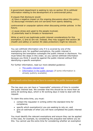A government department is seeking to rely on section 35 to withhold information relating to the development of a controversial policy.

It argues that disclosure would:

- a) have a negative impact on the ongoing discussions about this policy;
- b) discourage ministers and civil servants from openly debating

controversial or unpopular options when discussing similar policies in the future;

- c) cause stress and upset to the people involved;
- d) potentially lead to threats or harassment

While a) and b) are legitimate public interest considerations for this exemption, c) and d) are not. Instead, they may suggest that section 38 (health and safety) or section 40 (data protection) might be relevant.

You can withhold information only if it is covered by one of the exemptions and, for qualified exemptions, the public interest in maintaining the exemption outweighs the public interest in disclosure. You must follow the steps in this order, so you cannot withhold information because you think it would be against the public interest without first identifying a specific exemption.

For further information, read our more detailed guidance:

- [The public interest test](http://www.ico.gov.uk/for_organisations/freedom_of_information/guide/~/media/documents/library/Freedom_of_Information/Detailed_specialist_guides/the_public_interest_test.ashx)
- [Information in the public domain](http://www.ico.org.uk/~/media/documents/library/Freedom_of_Information/Detailed_specialist_guides/information-in-the-public-domain-foi-eir-guidance.ashx) (if some information is already publicly available)

## How much extra time can we have to consider the public interest test?

The law says you can have a "reasonable" extension of time to consider the public interest test. We consider that this should be no more than an extra 20 working days, which is 40 working days in total to deal with the request.

To claim this extra time, you must:

- contact the requester in writing within the standard time for compliance;
- specify which exemption(s) you are seeking to rely on; and
- give an estimate of when you will have completed the public interest test.

You must identify the relevant exemptions and ensure they can be applied in this case, for example, by considering the prejudice test before you do this. You cannot use the extra time for considering whether an exemption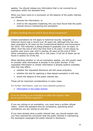applies. You should release any information that is not covered by an exemption within the standard time.

When you have come to a conclusion on the balance of the public interest, you should:

- disclose the information; or
- write to the requester explaining why you have found that the public interest favours maintaining the exemption.

# Is there anything else we need to know about exemptions?

Certain exemptions do not apply to historical records. Originally, a historical record was a record over 30 years old, although this has now been amended to 20 years by the Constitutional Reform and Governance Act 2010. This reduction is being phased in gradually over 10 years. In effect, from the end of 2013 the time limit is 29 years. It will reduce by another year every year until it reaches 20 years at the end of 2022. Other exemptions expire after 60 or 100 years. A full list of these can be found in section 63 of the Act.

When deciding whether or not an exemption applies, you will usually need to consider what information is already in the public domain. If the requested information or similar information is already publicly available, then this may affect:

- whether the requested disclosure will still cause prejudice;
- whether the test for applying a class-based exemption is still met;
- where the balance of the public interest lies.

These will be important considerations in many cases.

For further information, read our more detailed guidance:

• [Information in the public domain](http://www.ico.org.uk/~/media/documents/library/Freedom_of_Information/Detailed_specialist_guides/information-in-the-public-domain-foi-eir-guidance.pdf)

If we are relying on an exemption to refuse the request, what do we need to tell the requester?

If you are relying on an exemption, you must issue a written refusal notice within the standard time for compliance, specifying which exemptions you are relying on and why.

If you have already done a public interest test, you should explain why you have reached the conclusion that the public interest in maintaining the exemption outweighs the public interest in disclosure.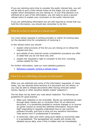If you are claiming extra time to consider the public interest test, you will not be able to give a final refusal notice at this stage, but you should explain which exemptions you are relying on. If your final decision is to withhold all or part of the information, you will need to send a second refusal notice to explain your conclusion on the public interest test.

If you are withholding information but are still required to reveal that you hold the information, you should also remember to do this.

## What do we have to include in a refusal notice?

You must refuse requests in writing promptly or within 20 working days (or the standard time for compliance) of receiving it.

In the refusal notice you should:

- explain what provision of the Act you are relying on to refuse the request and why;
- give details of any internal review (complaints) procedure you offer or state that you do not have one; and
- explain the requester's right to complain to the ICO, including contact details for this.

For further information, read our more detailed guidance:

• [Refusing a request: writing a refusal notice](http://www.ico.gov.uk/for_organisations/freedom_of_information/guide/~/media/documents/library/Freedom_of_Information/Detailed_specialist_guides/refusing_a_request_writing_a_refusal_notice_foi.ashx)

## What if we are withholding only parts of a document?

Often you can withhold only some of the information requested. In many cases, you can disclose some sections of a document but not others, or you may be able to release documents after having removed certain names, figures or other sensitive details (called 'redaction').

The Act does not lay down any rules about redaction. The following are guidelines for good practice.

- Make sure redaction is not reversible. Words can sometimes be seen through black marker pen or correction fluid. On an electronic document, it is sometimes possible to reverse changes or to recover an earlier version to reveal the withheld information. Ensure that staff responding to requests understand how to use common software formats, and how to strip out any sensitive information. Take advice from IT professionals if necessary.
- In particular, take care when using pivot tables to anonymise data in a spreadsheet. The spreadsheet will usually still contain the detailed source data, even if this is hidden and not immediately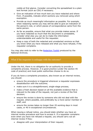visible at first glance. Consider converting the spreadsheet to a plain text format (such as CSV) if necessary.

- Give an indication of how much text you have redacted and where from. If possible, indicate which sections you removed using which exemption.
- Provide as much meaningful information as possible. For example, when redacting names you may still be able to give an indication of the person's role, or which pieces of correspondence came from the same person.
- As far as possible, ensure that what you provide makes sense. If you have redacted so much that the document is unreadable, consider what else you can do to make the information understandable and useful for the requester.
- Keep a copy of both the redacted and unredacted versions so that you know what you have released and what you have refused, if the requester complains.

You may also wish to refer to the [Redaction Toolkit](http://www.nationalarchives.gov.uk/documents/information-management/redaction_toolkit.pdf) produced by the National Archives.

#### What if the requester is unhappy with the outcome?

Under the Act, there is no obligation for an authority to provide a complaints process. However, it is good practice (under the section 45 code of practice) and most public authorities choose to do so.

If you do have a complaints procedure, also known as an internal review, you should:

- ensure the procedure is triggered whenever a requester expresses dissatisfaction with the outcome;
- make sure it is a straightforward, single-stage process;
- make a fresh decision based on all the available evidence that is relevant to the date of the request, not just a review of the first decision;
- ensure the review is done by someone who did not deal with the request, where possible, and preferably by a more senior member of staff; and
- ensure the review takes no longer than 20 working days in most cases, or 40 in exceptional circumstances.

When issuing a refusal notice, you should state whether you have an internal review procedure and how to access it. If a requester complains even when you have not refused a request, you should carry out an internal review if they:

disagree with your interpretation of their request;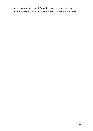- believe you hold more information than you have disclosed; or
- are still waiting for a response and are unhappy with the delay.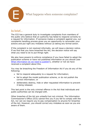<span id="page-53-0"></span>

What happens when someone complains?

# In brief…

The ICO has a general duty to investigate complaints from members of the public who believe that an authority has failed to respond correctly to a request for information. If someone makes a complaint against you, our complaints handling process gives you an opportunity to reconsider your actions and put right any mistakes without us taking any formal action.

If the complaint is not resolved informally, we will issue a decision notice. If we find that you have breached the Act, the decision notice will say what you need to do to put things right.

We also have powers to enforce compliance if you have failed to adopt the publication scheme or have not published information as you should (see [What information do we need to publish?\)](#page-11-0), whether or not we have received a complaint about this.

You may be breaching the Freedom of Information Act if you do any of the following:

- fail to respond adequately to a request for information;
- fail to adopt the model publication scheme, or do not publish the correct information; or
- deliberately destroy, hide or alter requested information to prevent it being released.

This last point is the only criminal offence in the Act that individuals and public authorities can be charged with.

Other breaches of the Act are unlawful but not criminal. The Information Commissioner's Office (ICO) cannot fine you if you fail to comply with the Act, nor can we require you to pay compensation to anyone for breaches of the Act. However, you should correct any mistakes as soon as you are aware of them.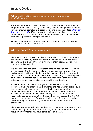In more detail…

#### When might the ICO receive a complaint about how we have handled a request?

If someone thinks you have not dealt with their request for information properly, they should start by complaining to you. Most public authorities have an internal complaints procedure relating to requests (see [When can](#page-28-0)  [I refuse a request?\)](#page-28-0). If after going through your complaints procedure the requester is still dissatisfied, or if you fail to review your original decision, then the requester can complain to the ICO.

Whenever you refuse a request you must always let people know about their right to complain to the ICO.

## What can the ICO do about a complaint?

The ICO will often resolve complaints informally. You may accept that you have made a mistake, or the requester may withdraw their complaint once we have explained the law to them. In many cases, a satisfactory compromise is reached.

We also have the power to issue legally binding decision notices. We do this in about a third of valid freedom of information complaints. The decision notice will state whether you have complied with the law, and, if not, what you should do to put things right. Depending on the complexity of the case, a decision notice will generally include the arguments and evidence that we have considered in reaching our decision.

A decision notice may state that you have dealt with a request correctly. However, if we find that you have breached the Act, we may order you to take steps to put things right, such as disclosing some or all of the requested information. This happens in about half of cases that are resolved by a decision notice. For example, if we find that you have incorrectly applied an exemption, this is a breach of section 1 of the Act and the remedy would be for you to disclose the information. In other cases we may require you to give the requester further advice and assistance.

The ICO does not punish public authorities or compensate requesters. We cannot investigate other matters that may lie behind the request. We focus on only whether you have complied with the Act.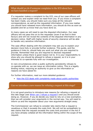What should we do if someone complains to the ICO about how we have handled a request?

If a requester makes a complaint to the ICO, one of our case officers will contact you and explain what we need from you. If you know a complaint has been made, you should make sure you keep all the relevant correspondence, as well as the requested information. If you now realise you should have released more information, you should do this as soon as possible and let us know that you have done so.

In many cases we will need to see the disputed information. Our case officers will not pass this on to the requester (even if we find in their favour) and will not reveal the contents of the disputed information in any decision notice. Staff with higher levels of security clearance will be able to handle very sensitive information.

The case officer dealing with the complaint may ask you to explain your decision more fully or provide further evidence. This guide, and the guidance it links to, should help you work out what you are required to provide. Remember that you are required to disclose requested information unless there is good reason not to. It is your responsibility to show why you should be allowed to refuse a request, so it is in your interests to co-operate fully with our investigation.

In rare circumstances when a public authority persistently refuses to co-operate with us, we can issue an information notice. This is a legally binding notice, requiring an authority to give us the information or reasons we have asked for.

For further information, read our more detailed guidance:

• [How the ICO deals with complaints made about public authorities](http://www.ico.gov.uk/for_organisations/freedom_of_information/~/media/documents/library/Corporate/Practical_application/complaints_guide_for_public_authorities.ashx)

#### Can we introduce a new reason for refusing a request at this stage?

It is not good practice to introduce new reasons for refusing a request at this late stage (see [When can I refuse a request?\)](#page-28-0) and you should avoid doing so. However, if you do decide you need to rely on a new exemption, then we will consider your arguments in the normal way. You will need to inform us and the requester about your new arguments straight away.

The Commissioner can refuse to consider late claims that a request is vexatious or that it exceeds the costs limit. We will not be sympathetic to late claims that the request exceeds the costs limit provision in the Act if you have already collated all the information falling within the scope of the request.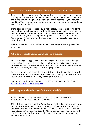#### What should we do if we receive a decision notice from the ICO?

In our decision notice we may find against you or may decide you handled the request correctly. In some cases we may uphold your overall decision but make some findings about delays and other aspects of your request handling. This is an opportunity for you to learn and improve, and perhaps avoid future complaints.

If the decision notice requires you to take steps, such as disclosing some information, you should do this within 35 calendar days of the date of the notice, unless you intend to appeal. If you disagree with the decision and wish to appeal, you must lodge your appeal with the First Tier Tribunal (Information Rights) within 28 calendar days. The requester also has a right of appeal.

Failure to comply with a decision notice is contempt of court, punishable by a fine.

#### What does it cost to appeal against the ICO's decision?

There is no fee for appealing to the Tribunal and you do not need to be represented by a barrister or solicitor, although it is advisable to have professional legal representation. Bear in mind that a Tribunal appeal may be time consuming and requires careful preparation.

Costs are not normally awarded in the Tribunal. The Tribunal may award costs where a party has acted unreasonably in bringing the case or in the way they conducted themselves, although this is rare.

More details of the appeal process are on the Tribunal's website under [Information Rights: how to appeal.](http://www.justice.gov.uk/guidance/courts-and-tribunals/tribunals/information-rights/appeals/how-to-appeal.htm)

#### What happens when the ICO's decision is appealed?

A public authority, the requester or both can appeal against the Information Commissioner's decision notice.

If the Tribunal decides that the Commissioner's decision was wrong in law, or that he exercised his discretion wrongly, it can overturn the decision and issue a substitute decision notice. This decision notice has the same legal status as the first one. Like the Commissioner, the Tribunal can only consider questions relevant to the Act, not any wider dispute that may arise from the request.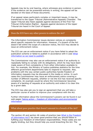Appeals may be by oral hearing, where witnesses give evidence in person. If the evidence can be presented entirely in writing, the appeal will be decided on the basis of those documents.

If an appeal raises particularly complex or important issues, it may be transferred to the Upper Tribunal (Administrative Appeals) Chamber. The Upper Tribunal also hears appeals against decisions of the First Tier Tribunal (Information Rights). Appeals against decisions of the Upper Tribunal are heard in the Court of Appeal.

#### Does the ICO have any other powers to enforce the Act?

The Information Commissioner issues decision notices on complaints about specific requests for information. However, if a breach of the Act doesn't fall within the scope of a decision notice, the ICO may decide to issue an enforcement notice.

The ICO can use an enforcement notice if you have failed to adopt the publication scheme or failed to publish in accordance with it (see [What](#page-11-0)  [information so we need to publish\)](#page-11-0).

The Commissioner may also use an enforcement notice if an authority is repeatedly failing to comply with its obligations, which he may have been made aware of from complaints or from other information available to him. For example, the Ministry of Justice publishes statistics for the time different government departments take to respond to requests. Also, problems with the way certain public authorities handle freedom of information requests may be discussed in the media or online. In such cases the Commissioner may issue an enforcement notice covering a number of different requests, whether or not the ICO has received specific complaints. An example would be where the Commissioner becomes aware of a backlog of requests at an authority and orders it to clear this by a given date.

The ICO may also ask you to sign an agreement that you will take a particular course of action to improve your compliance with the Act.

Further information about the Commissioner's powers can be found in our web pages Taking action – [freedom of information and environmental](http://www.ico.gov.uk/what_we_cover/taking_action/foi_eir.aspx)  [information](http://www.ico.gov.uk/what_we_cover/taking_action/foi_eir.aspx)

#### What about poor practice that doesn't amount to a breach of the Act?

The section 45 and section 46 codes of practice (see [What is the Freedom](#page-2-0)  [of Information](#page-2-0) Act?) lay down good practice that you should follow in fulfilling your freedom of information responsibilities. These codes are not legally binding, but they should help you avoid breaching the Act. The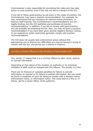Commissioner is also responsible for promoting the codes and may take action on poor practice, even if this has not led to a breach of the Act.

If you fail to follow good practice as set down in the codes of practice, the Commissioner may issue a practice recommendation. For example, he may recommend that you introduce an internal review procedure, or improve staff training. The Commissioner's recommendations are not legally binding, but the ICO publishes and publicises all practice recommendations. In addition, if you fail to comply with good practice, you will probably be breaching the Act. Also, you may be given a practice recommendation if you have been given several negative decision notices. In our experience, public authorities generally comply with practice recommendations.

The ICO does not usually take enforcement action without first approaching you to discuss any difficulties you may be having in trying to comply with the Act, and giving you a chance to improve.

## Are there criminal offences in the Freedom of Information Act?

Yes, section 77 states that it is a criminal offence to alter, block, destroy or conceal information.

Depending on the nature of the incident, an authority or its individual members of staff could be charged with this offence. The penalty is a fine.

There are no financial or custodial penalties for failure to provide information on request or for failure to publish information. But you could be found in contempt of court for failing to comply with a decision notice, enforcement notice, or information notice. This could lead to a fine or, in theory, jail for a senior officer of the authority.